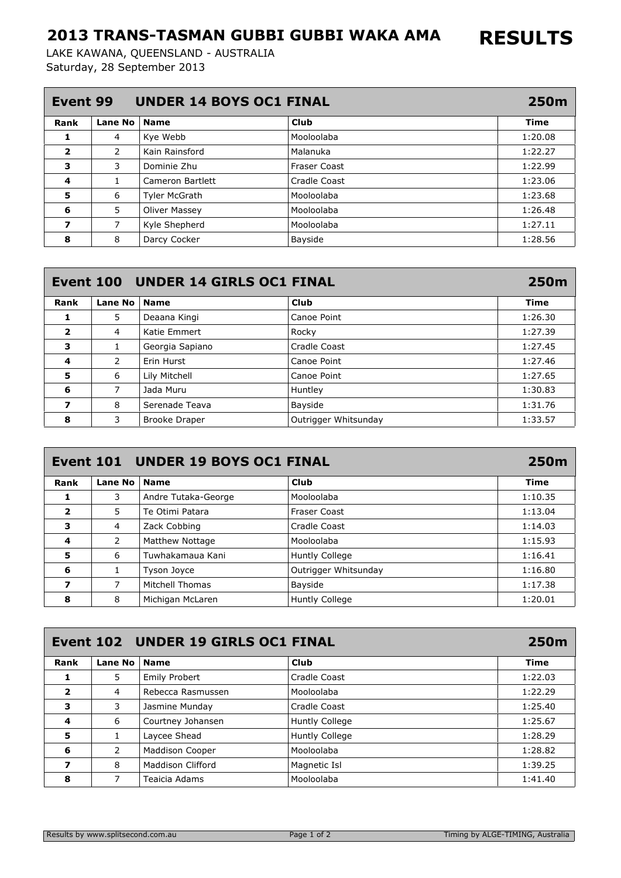## 2013 TRANS-TASMAN GUBBI GUBBI WAKA AMA

Saturday, 28 September 2013 LAKE KAWANA, QUEENSLAND - AUSTRALIA

| <b>UNDER 14 BOYS OC1 FINAL</b><br>Event 99 |         |                      |              |         |
|--------------------------------------------|---------|----------------------|--------------|---------|
| Rank                                       | Lane No | <b>Name</b>          | Club         | Time    |
| 1                                          | 4       | Kye Webb             | Mooloolaba   | 1:20.08 |
| $\overline{\mathbf{2}}$                    | 2       | Kain Rainsford       | Malanuka     | 1:22.27 |
| 3                                          | 3       | Dominie Zhu          | Fraser Coast | 1:22.99 |
| 4                                          | 1       | Cameron Bartlett     | Cradle Coast | 1:23.06 |
| 5                                          | 6       | <b>Tyler McGrath</b> | Mooloolaba   | 1:23.68 |
| 6                                          | 5       | Oliver Massey        | Mooloolaba   | 1:26.48 |
| 7                                          | 7       | Kyle Shepherd        | Mooloolaba   | 1:27.11 |
| 8                                          | 8       | Darcy Cocker         | Bayside      | 1:28.56 |

|                         |                | Event 100 UNDER 14 GIRLS OC1 FINAL |                      | 250m        |
|-------------------------|----------------|------------------------------------|----------------------|-------------|
| Rank                    | Lane No        | <b>Name</b>                        | Club                 | <b>Time</b> |
| 1                       | 5              | Deaana Kingi                       | Canoe Point          | 1:26.30     |
| $\overline{\mathbf{2}}$ | $\overline{4}$ | Katie Emmert                       | Rocky                | 1:27.39     |
| 3                       | 1              | Georgia Sapiano                    | <b>Cradle Coast</b>  | 1:27.45     |
| 4                       | 2              | Erin Hurst                         | Canoe Point          | 1:27.46     |
| 5                       | 6              | Lily Mitchell                      | Canoe Point          | 1:27.65     |
| 6                       | 7              | Jada Muru                          | Huntley              | 1:30.83     |
| 7                       | 8              | Serenade Teava                     | Bayside              | 1:31.76     |
| 8                       | 3              | <b>Brooke Draper</b>               | Outrigger Whitsunday | 1:33.57     |

| Event 101 UNDER 19 BOYS OC1 FINAL |                |                     |                       |         |
|-----------------------------------|----------------|---------------------|-----------------------|---------|
| Rank                              | <b>Lane No</b> | <b>Name</b>         | Club                  | Time    |
| 1                                 | 3              | Andre Tutaka-George | Mooloolaba            | 1:10.35 |
| $\overline{\mathbf{2}}$           | 5              | Te Otimi Patara     | Fraser Coast          | 1:13.04 |
| з                                 | 4              | Zack Cobbing        | Cradle Coast          | 1:14.03 |
| 4                                 | 2              | Matthew Nottage     | Mooloolaba            | 1:15.93 |
| 5                                 | 6              | Tuwhakamaua Kani    | Huntly College        | 1:16.41 |
| 6                                 | 1              | Tyson Joyce         | Outrigger Whitsunday  | 1:16.80 |
| 7                                 | 7              | Mitchell Thomas     | Bayside               | 1:17.38 |
| 8                                 | 8              | Michigan McLaren    | <b>Huntly College</b> | 1:20.01 |

| Event 102 UNDER 19 GIRLS OC1 FINAL<br>250m |                |                      |                |             |  |
|--------------------------------------------|----------------|----------------------|----------------|-------------|--|
| Rank                                       | <b>Lane No</b> | <b>Name</b>          | Club           | <b>Time</b> |  |
| 1                                          | 5              | <b>Emily Probert</b> | Cradle Coast   | 1:22.03     |  |
| $\overline{\mathbf{2}}$                    | 4              | Rebecca Rasmussen    | Mooloolaba     | 1:22.29     |  |
| 3                                          | 3              | Jasmine Munday       | Cradle Coast   | 1:25.40     |  |
| 4                                          | 6              | Courtney Johansen    | Huntly College | 1:25.67     |  |
| 5                                          | 1              | Laycee Shead         | Huntly College | 1:28.29     |  |
| 6                                          | 2              | Maddison Cooper      | Mooloolaba     | 1:28.82     |  |
| 7                                          | 8              | Maddison Clifford    | Magnetic Isl   | 1:39.25     |  |
| 8                                          |                | Teaicia Adams        | Mooloolaba     | 1:41.40     |  |

RESULTS